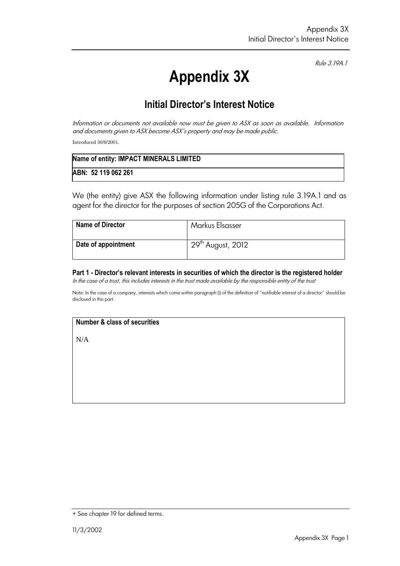Rule 3.19A.1

# **Appendix 3X**

# **Initial Director's Interest Notice**

Information or documents not available now must be given to ASX as soon as available. Information and documents given to ASX become ASX's property and may be made public. Introduced 30/9/2001.

| Name of entity: IMPACT MINERALS LIMITED |
|-----------------------------------------|
| ABN: 52 119 062 261                     |

We (the entity) give ASX the following information under listing rule 3.19A.1 and as agent for the director for the purposes of section 205G of the Corporations Act.

| <b>Name of Director</b> | Markus Elsasser                             |
|-------------------------|---------------------------------------------|
| Date of appointment     | $\frac{1}{2}$ 29 <sup>th</sup> August, 2012 |

**Part 1 - Director's relevant interests in securities of which the director is the registered holder** In the case of a trust, this includes interests in the trust made available by the responsible entity of the trust

Note: In the case of a company, interests which come within paragraph (i) of the definition of "notifiable interest of a director" should be disclosed in this part.

## **Number & class of securities**

N/A

<sup>+</sup> See chapter 19 for defined terms.